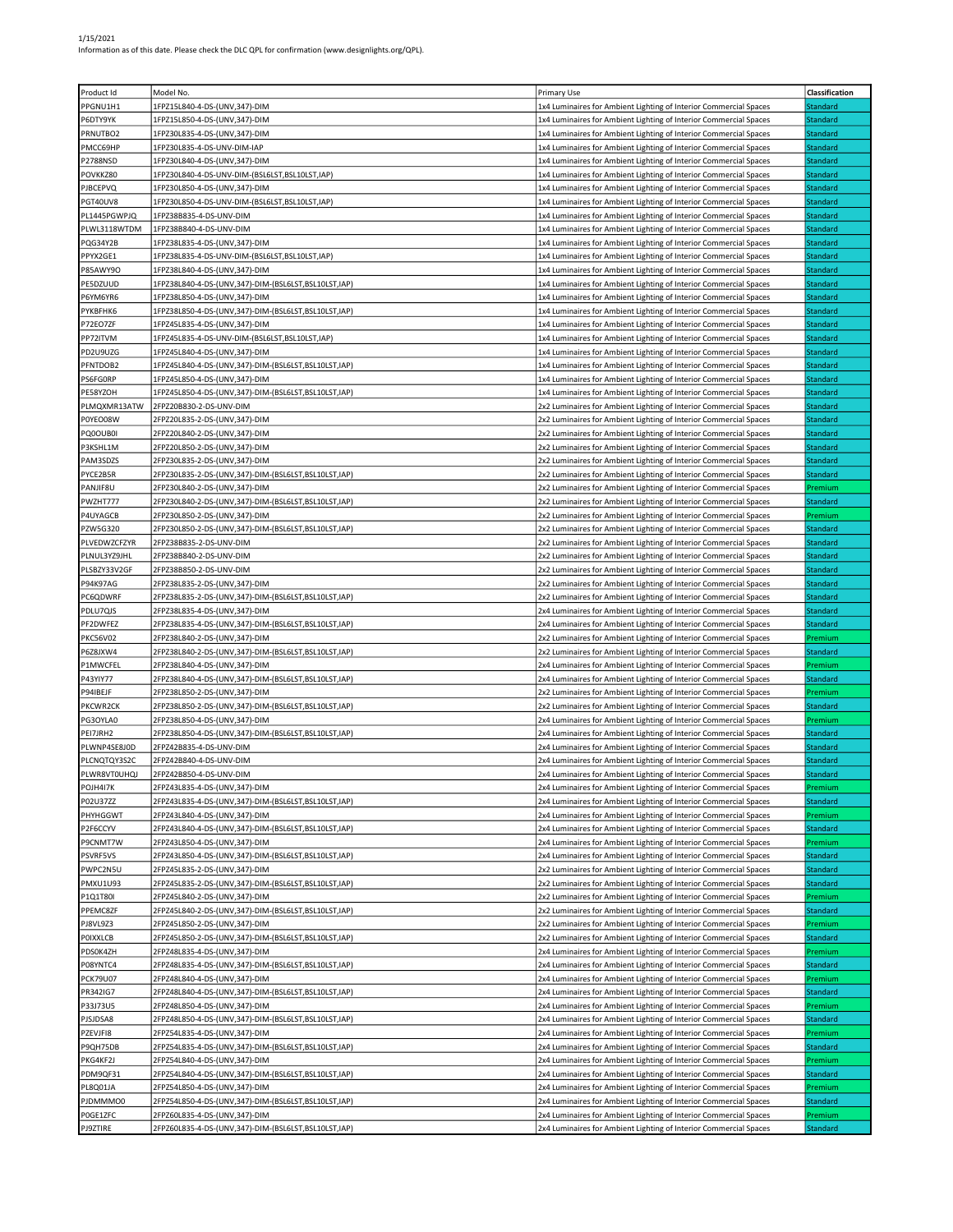| Product Id      | Model No.                                            | <b>Primary Use</b>                                                | Classification  |
|-----------------|------------------------------------------------------|-------------------------------------------------------------------|-----------------|
|                 |                                                      |                                                                   |                 |
| PPGNU1H1        | 1FPZ15L840-4-DS-(UNV,347)-DIM                        | 1x4 Luminaires for Ambient Lighting of Interior Commercial Spaces | Standard        |
| P6DTY9YK        | 1FPZ15L850-4-DS-(UNV,347)-DIM                        | 1x4 Luminaires for Ambient Lighting of Interior Commercial Spaces | <b>Standard</b> |
| PRNUTBO2        | 1FPZ30L835-4-DS-(UNV,347)-DIM                        | 1x4 Luminaires for Ambient Lighting of Interior Commercial Spaces | Standard        |
| PMCC69HP        | 1FPZ30L835-4-DS-UNV-DIM-IAP                          | 1x4 Luminaires for Ambient Lighting of Interior Commercial Spaces | <b>Standard</b> |
| P2788NSD        | 1FPZ30L840-4-DS-(UNV,347)-DIM                        | 1x4 Luminaires for Ambient Lighting of Interior Commercial Spaces | Standard        |
| POVKKZ80        | 1FPZ30L840-4-DS-UNV-DIM-(BSL6LST,BSL10LST,IAP)       | 1x4 Luminaires for Ambient Lighting of Interior Commercial Spaces | Standard        |
| PJBCEPVQ        | 1FPZ30L850-4-DS-(UNV,347)-DIM                        | 1x4 Luminaires for Ambient Lighting of Interior Commercial Spaces | Standard        |
| PGT40UV8        | 1FPZ30L850-4-DS-UNV-DIM-(BSL6LST,BSL10LST,IAP)       | 1x4 Luminaires for Ambient Lighting of Interior Commercial Spaces | Standard        |
| PL1445PGWPJQ    |                                                      |                                                                   | Standard        |
|                 | 1FPZ38B835-4-DS-UNV-DIM                              | 1x4 Luminaires for Ambient Lighting of Interior Commercial Spaces |                 |
| PLWL3118WTDM    | 1FPZ38B840-4-DS-UNV-DIM                              | 1x4 Luminaires for Ambient Lighting of Interior Commercial Spaces | Standard        |
| PQG34Y2B        | 1FPZ38L835-4-DS-(UNV,347)-DIM                        | 1x4 Luminaires for Ambient Lighting of Interior Commercial Spaces | Standard        |
| PPYX2GE1        | 1FPZ38L835-4-DS-UNV-DIM-(BSL6LST,BSL10LST,IAP)       | 1x4 Luminaires for Ambient Lighting of Interior Commercial Spaces | Standard        |
| P85AWY9O        | 1FPZ38L840-4-DS-(UNV,347)-DIM                        | 1x4 Luminaires for Ambient Lighting of Interior Commercial Spaces | Standard        |
| PE5DZUUD        | 1FPZ38L840-4-DS-(UNV,347)-DIM-(BSL6LST,BSL10LST,IAP) | 1x4 Luminaires for Ambient Lighting of Interior Commercial Spaces | <b>Standard</b> |
| P6YM6YR6        | 1FPZ38L850-4-DS-(UNV,347)-DIM                        | 1x4 Luminaires for Ambient Lighting of Interior Commercial Spaces | <b>Standard</b> |
| PYKBFHK6        | 1FPZ38L850-4-DS-(UNV,347)-DIM-(BSL6LST,BSL10LST,IAP) | 1x4 Luminaires for Ambient Lighting of Interior Commercial Spaces | Standard        |
| P72EO7ZF        | 1FPZ45L835-4-DS-(UNV,347)-DIM                        | 1x4 Luminaires for Ambient Lighting of Interior Commercial Spaces | Standard        |
| PP72ITVM        | 1FPZ45L835-4-DS-UNV-DIM-(BSL6LST,BSL10LST,IAP)       | 1x4 Luminaires for Ambient Lighting of Interior Commercial Spaces | Standard        |
| PD2U9UZG        | 1FPZ45L840-4-DS-(UNV,347)-DIM                        | 1x4 Luminaires for Ambient Lighting of Interior Commercial Spaces | Standard        |
|                 |                                                      |                                                                   |                 |
| PFNTDOB2        | 1FPZ45L840-4-DS-(UNV,347)-DIM-(BSL6LST,BSL10LST,IAP) | 1x4 Luminaires for Ambient Lighting of Interior Commercial Spaces | Standard        |
| PS6FG0RP        | 1FPZ45L850-4-DS-(UNV,347)-DIM                        | 1x4 Luminaires for Ambient Lighting of Interior Commercial Spaces | Standard        |
| PE58YZOH        | 1FPZ45L850-4-DS-(UNV,347)-DIM-(BSL6LST,BSL10LST,IAP) | 1x4 Luminaires for Ambient Lighting of Interior Commercial Spaces | Standard        |
| PLMQXMR13ATW    | 2FPZ20B830-2-DS-UNV-DIM                              | 2x2 Luminaires for Ambient Lighting of Interior Commercial Spaces | Standard        |
| P0YEO08W        | 2FPZ20L835-2-DS-(UNV,347)-DIM                        | 2x2 Luminaires for Ambient Lighting of Interior Commercial Spaces | Standard        |
| PQ0OUB0I        | 2FPZ20L840-2-DS-(UNV,347)-DIM                        | 2x2 Luminaires for Ambient Lighting of Interior Commercial Spaces | Standard        |
| P3KSHL1M        | 2FPZ20L850-2-DS-(UNV,347)-DIM                        | 2x2 Luminaires for Ambient Lighting of Interior Commercial Spaces | Standard        |
| PAM3SDZS        | 2FPZ30L835-2-DS-(UNV,347)-DIM                        | 2x2 Luminaires for Ambient Lighting of Interior Commercial Spaces | Standard        |
| PYCE2B5R        | 2FPZ30L835-2-DS-(UNV,347)-DIM-(BSL6LST,BSL10LST,IAP) | 2x2 Luminaires for Ambient Lighting of Interior Commercial Spaces | <b>Standard</b> |
| PANJIF8U        | 2FPZ30L840-2-DS-(UNV,347)-DIM                        | 2x2 Luminaires for Ambient Lighting of Interior Commercial Spaces | Premium         |
|                 |                                                      |                                                                   |                 |
| PWZHT777        | 2FPZ30L840-2-DS-(UNV,347)-DIM-(BSL6LST,BSL10LST,IAP) | 2x2 Luminaires for Ambient Lighting of Interior Commercial Spaces | <b>Standard</b> |
| P4UYAGCB        | 2FPZ30L850-2-DS-(UNV,347)-DIM                        | 2x2 Luminaires for Ambient Lighting of Interior Commercial Spaces | Premium         |
| PZW5G320        | 2FPZ30L850-2-DS-(UNV,347)-DIM-(BSL6LST,BSL10LST,IAP) | 2x2 Luminaires for Ambient Lighting of Interior Commercial Spaces | Standard        |
| PLVEDWZCFZYR    | 2FPZ38B835-2-DS-UNV-DIM                              | 2x2 Luminaires for Ambient Lighting of Interior Commercial Spaces | Standard        |
| PLNUL3YZ9JHL    | 2FPZ38B840-2-DS-UNV-DIM                              | 2x2 Luminaires for Ambient Lighting of Interior Commercial Spaces | Standard        |
| PLSBZY33V2GF    | 2FPZ38B850-2-DS-UNV-DIM                              | 2x2 Luminaires for Ambient Lighting of Interior Commercial Spaces | Standard        |
| <b>P94K97AG</b> | 2FPZ38L835-2-DS-(UNV,347)-DIM                        | 2x2 Luminaires for Ambient Lighting of Interior Commercial Spaces | Standard        |
| PC6QDWRF        | 2FPZ38L835-2-DS-(UNV,347)-DIM-(BSL6LST,BSL10LST,IAP) | 2x2 Luminaires for Ambient Lighting of Interior Commercial Spaces | Standard        |
| PDLU7QJS        | 2FPZ38L835-4-DS-(UNV,347)-DIM                        | 2x4 Luminaires for Ambient Lighting of Interior Commercial Spaces | Standard        |
|                 |                                                      |                                                                   | Standard        |
| PF2DWFEZ        | 2FPZ38L835-4-DS-(UNV,347)-DIM-(BSL6LST,BSL10LST,IAP) | 2x4 Luminaires for Ambient Lighting of Interior Commercial Spaces |                 |
| <b>PKC56V02</b> | 2FPZ38L840-2-DS-(UNV,347)-DIM                        | 2x2 Luminaires for Ambient Lighting of Interior Commercial Spaces | Premium         |
| P6Z8JXW4        | 2FPZ38L840-2-DS-(UNV,347)-DIM-(BSL6LST,BSL10LST,IAP) | 2x2 Luminaires for Ambient Lighting of Interior Commercial Spaces | <b>Standard</b> |
| P1MWCFEL        | 2FPZ38L840-4-DS-(UNV,347)-DIM                        | 2x4 Luminaires for Ambient Lighting of Interior Commercial Spaces | Premium         |
| P43YIY77        | 2FPZ38L840-4-DS-(UNV,347)-DIM-(BSL6LST,BSL10LST,IAP) | 2x4 Luminaires for Ambient Lighting of Interior Commercial Spaces | <b>Standard</b> |
| P94IBEJF        | 2FPZ38L850-2-DS-(UNV,347)-DIM                        | 2x2 Luminaires for Ambient Lighting of Interior Commercial Spaces | Premium         |
| PKCWR2CK        | 2FPZ38L850-2-DS-(UNV,347)-DIM-(BSL6LST,BSL10LST,IAP) | 2x2 Luminaires for Ambient Lighting of Interior Commercial Spaces | Standard        |
| PG3OYLA0        | 2FPZ38L850-4-DS-(UNV,347)-DIM                        | 2x4 Luminaires for Ambient Lighting of Interior Commercial Spaces | Premium         |
| PEI7JRH2        | 2FPZ38L850-4-DS-(UNV,347)-DIM-(BSL6LST,BSL10LST,IAP) | 2x4 Luminaires for Ambient Lighting of Interior Commercial Spaces | Standard        |
| PLWNP4SE8J0D    | 2FPZ42B835-4-DS-UNV-DIM                              | 2x4 Luminaires for Ambient Lighting of Interior Commercial Spaces | Standard        |
| PLCNQTQY3S2C    | 2FPZ42B840-4-DS-UNV-DIM                              | 2x4 Luminaires for Ambient Lighting of Interior Commercial Spaces | Standard        |
| PLWR8VT0UHQJ    | 2FPZ42B850-4-DS-UNV-DIM                              | 2x4 Luminaires for Ambient Lighting of Interior Commercial Spaces | Standard        |
|                 |                                                      |                                                                   |                 |
| POJH417K        | 2FPZ43L835-4-DS-(UNV,347)-DIM                        | 2x4 Luminaires for Ambient Lighting of Interior Commercial Spaces | Premium         |
| P02U37ZZ        | 2FPZ43L835-4-DS-(UNV,347)-DIM-(BSL6LST,BSL10LST,IAP) | 2x4 Luminaires for Ambient Lighting of Interior Commercial Spaces | Standard        |
| PHYHGGWT        | 2FPZ43L840-4-DS-(UNV,347)-DIM                        | 2x4 Luminaires for Ambient Lighting of Interior Commercial Spaces | Premium         |
| P2F6CCYV        | 2FPZ43L840-4-DS-(UNV,347)-DIM-(BSL6LST,BSL10LST,IAP) | 2x4 Luminaires for Ambient Lighting of Interior Commercial Spaces | <b>Standard</b> |
| P9CNMT7W        | 2FPZ43L850-4-DS-(UNV,347)-DIM                        | 2x4 Luminaires for Ambient Lighting of Interior Commercial Spaces | Premium         |
| PSVRF5VS        | 2FPZ43L850-4-DS-(UNV,347)-DIM-(BSL6LST,BSL10LST,IAP) | 2x4 Luminaires for Ambient Lighting of Interior Commercial Spaces | Standard        |
| PWPC2N5U        | 2FPZ45L835-2-DS-(UNV,347)-DIM                        | 2x2 Luminaires for Ambient Lighting of Interior Commercial Spaces | Standard        |
| <b>PMXU1U93</b> | 2FPZ45L835-2-DS-(UNV,347)-DIM-(BSL6LST,BSL10LST,IAP) | 2x2 Luminaires for Ambient Lighting of Interior Commercial Spaces | Standard        |
| P1Q1T80I        | 2FPZ45L840-2-DS-(UNV,347)-DIM                        | 2x2 Luminaires for Ambient Lighting of Interior Commercial Spaces | Premium         |
| PPEMC8ZF        | 2FPZ45L840-2-DS-(UNV,347)-DIM-(BSL6LST,BSL10LST,IAP) | 2x2 Luminaires for Ambient Lighting of Interior Commercial Spaces | Standard        |
| PJ8VL9Z3        | 2FPZ45L850-2-DS-(UNV,347)-DIM                        | 2x2 Luminaires for Ambient Lighting of Interior Commercial Spaces | Premium         |
|                 |                                                      |                                                                   |                 |
| POIXXLCB        | 2FPZ45L850-2-DS-(UNV,347)-DIM-(BSL6LST,BSL10LST,IAP) | 2x2 Luminaires for Ambient Lighting of Interior Commercial Spaces | Standard        |
| PDS0K4ZH        | 2FPZ48L835-4-DS-(UNV,347)-DIM                        | 2x4 Luminaires for Ambient Lighting of Interior Commercial Spaces | Premium         |
| P08YNTC4        | 2FPZ48L835-4-DS-(UNV,347)-DIM-(BSL6LST,BSL10LST,IAP) | 2x4 Luminaires for Ambient Lighting of Interior Commercial Spaces | <b>Standard</b> |
| <b>PCK79U07</b> | 2FPZ48L840-4-DS-(UNV,347)-DIM                        | 2x4 Luminaires for Ambient Lighting of Interior Commercial Spaces | Premium         |
| PR342IG7        | 2FPZ48L840-4-DS-(UNV,347)-DIM-(BSL6LST,BSL10LST,IAP) | 2x4 Luminaires for Ambient Lighting of Interior Commercial Spaces | Standard        |
| P33J73U5        | 2FPZ48L850-4-DS-(UNV,347)-DIM                        | 2x4 Luminaires for Ambient Lighting of Interior Commercial Spaces | Premium         |
| PJSJDSA8        | 2FPZ48L850-4-DS-(UNV,347)-DIM-(BSL6LST,BSL10LST,IAP) | 2x4 Luminaires for Ambient Lighting of Interior Commercial Spaces | Standard        |
| PZEVJFI8        | 2FPZ54L835-4-DS-(UNV,347)-DIM                        | 2x4 Luminaires for Ambient Lighting of Interior Commercial Spaces | Premium         |
| P9QH75DB        | 2FPZ54L835-4-DS-(UNV,347)-DIM-(BSL6LST,BSL10LST,IAP) | 2x4 Luminaires for Ambient Lighting of Interior Commercial Spaces | Standard        |
| PKG4KF2J        | 2FPZ54L840-4-DS-(UNV,347)-DIM                        | 2x4 Luminaires for Ambient Lighting of Interior Commercial Spaces | Premium         |
| PDM9QF31        | 2FPZ54L840-4-DS-(UNV,347)-DIM-(BSL6LST,BSL10LST,IAP) | 2x4 Luminaires for Ambient Lighting of Interior Commercial Spaces | Standard        |
|                 |                                                      |                                                                   |                 |
| PL8Q01JA        | 2FPZ54L850-4-DS-(UNV,347)-DIM                        | 2x4 Luminaires for Ambient Lighting of Interior Commercial Spaces | Premium         |
| PJDMMM00        | 2FPZ54L850-4-DS-(UNV,347)-DIM-(BSL6LST,BSL10LST,IAP) | 2x4 Luminaires for Ambient Lighting of Interior Commercial Spaces | Standard        |
| P0GE1ZFC        | 2FPZ60L835-4-DS-(UNV,347)-DIM                        | 2x4 Luminaires for Ambient Lighting of Interior Commercial Spaces | Premium         |
| PJ9ZTIRE        | 2FPZ60L835-4-DS-(UNV,347)-DIM-(BSL6LST,BSL10LST,IAP) | 2x4 Luminaires for Ambient Lighting of Interior Commercial Spaces | <b>Standard</b> |